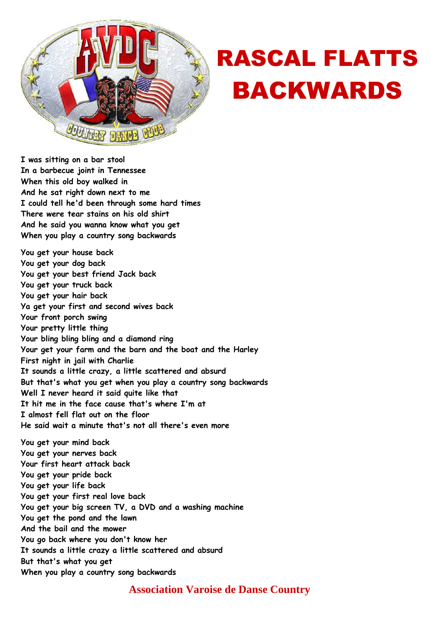

## RASCAL FLATTS BACKWARDS

**I was sitting on a bar stool In a barbecue joint in Tennessee When this old boy walked in And he sat right down next to me I could tell he'd been through some hard times There were tear stains on his old shirt And he said you wanna know what you get When you play a country song backwards** 

**You get your house back You get your dog back You get your best friend Jack back You get your truck back You get your hair back Ya get your first and second wives back Your front porch swing Your pretty little thing Your bling bling bling and a diamond ring Your get your farm and the barn and the boat and the Harley First night in jail with Charlie It sounds a little crazy, a little scattered and absurd But that's what you get when you play a country song backwards Well I never heard it said quite like that It hit me in the face cause that's where I'm at I almost fell flat out on the floor He said wait a minute that's not all there's even more You get your mind back You get your nerves back Your first heart attack back You get your pride back You get your life back You get your first real love back You get your big screen TV, a DVD and a washing machine You get the pond and the lawn And the bail and the mower You go back where you don't know her It sounds a little crazy a little scattered and absurd But that's what you get When you play a country song backwards** 

## **Association Varoise de Danse Country**